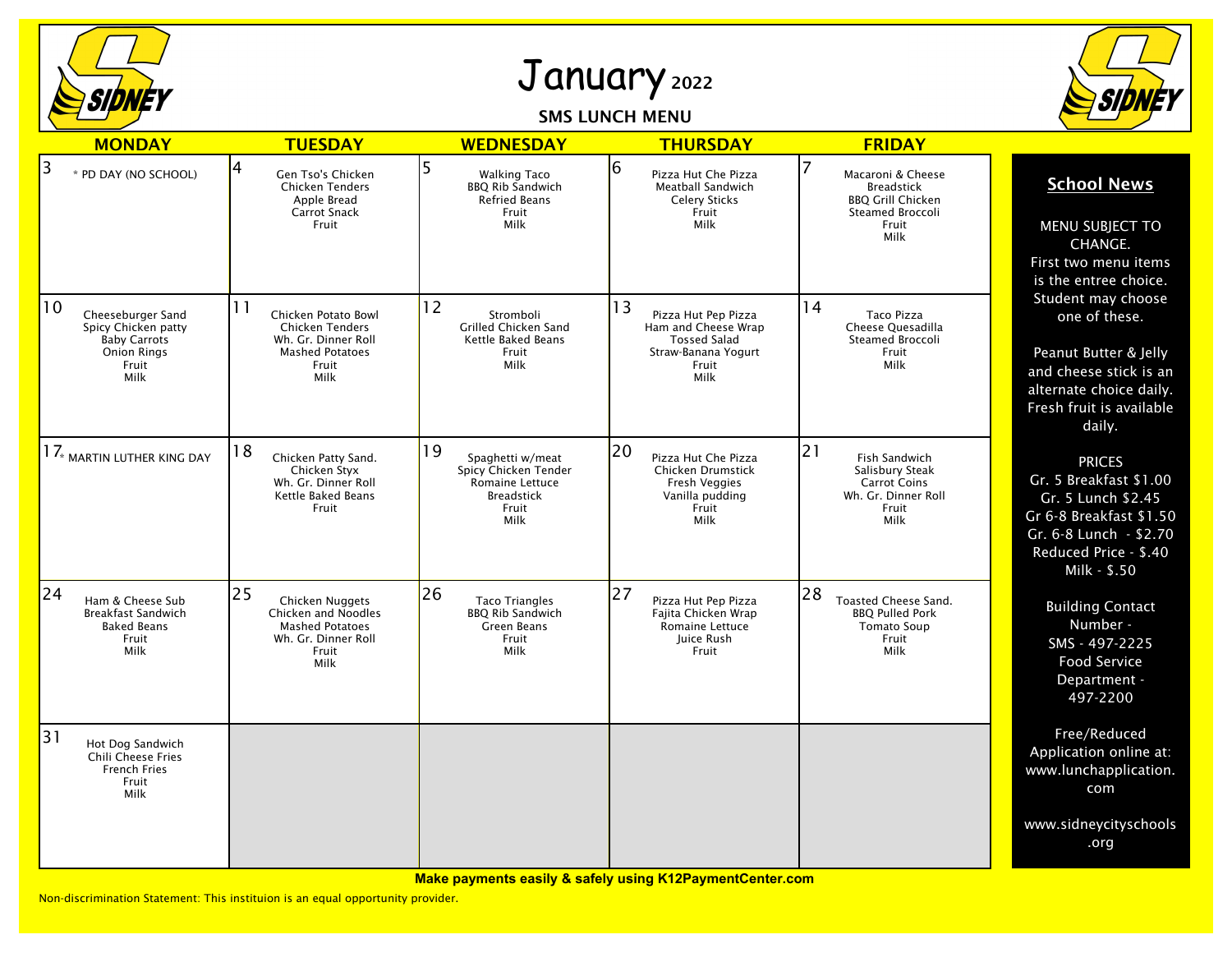

## January <sup>2022</sup>

## SMS LUNCH MENU



| <b>MONDAY</b>                                                                                                          | <b>TUESDAY</b>                                                                                                 | <b>WEDNESDAY</b>                                                                                        | <b>THURSDAY</b>                                                                                                 | <b>FRIDAY</b>                                                                                           |                                                                                                                                                             |
|------------------------------------------------------------------------------------------------------------------------|----------------------------------------------------------------------------------------------------------------|---------------------------------------------------------------------------------------------------------|-----------------------------------------------------------------------------------------------------------------|---------------------------------------------------------------------------------------------------------|-------------------------------------------------------------------------------------------------------------------------------------------------------------|
| 3<br>* PD DAY (NO SCHOOL)                                                                                              | 4<br>Gen Tso's Chicken<br>Chicken Tenders<br>Apple Bread<br><b>Carrot Snack</b><br>Fruit                       | 5<br><b>Walking Taco</b><br><b>BBQ Rib Sandwich</b><br><b>Refried Beans</b><br>Fruit<br>Milk            | 6<br>Pizza Hut Che Pizza<br>Meatball Sandwich<br><b>Celery Sticks</b><br>Fruit<br>Milk                          | Macaroni & Cheese<br><b>Breadstick</b><br><b>BBQ Grill Chicken</b><br>Steamed Broccoli<br>Fruit<br>Milk | <b>School News</b><br><b>MENU SUBJECT TO</b><br>CHANGE.<br>First two menu items<br>is the entree choice.                                                    |
| $ 10\rangle$<br>Cheeseburger Sand<br>Spicy Chicken patty<br><b>Baby Carrots</b><br><b>Onion Rings</b><br>Fruit<br>Milk | 11<br>Chicken Potato Bowl<br>Chicken Tenders<br>Wh. Gr. Dinner Roll<br><b>Mashed Potatoes</b><br>Fruit<br>Milk | 12<br>Stromboli<br>Grilled Chicken Sand<br>Kettle Baked Beans<br>Fruit<br>Milk                          | 13<br>Pizza Hut Pep Pizza<br>Ham and Cheese Wrap<br><b>Tossed Salad</b><br>Straw-Banana Yogurt<br>Fruit<br>Milk | 14<br>Taco Pizza<br>Cheese Quesadilla<br>Steamed Broccoli<br>Fruit<br>Milk                              | Student may choose<br>one of these.<br>Peanut Butter & Jelly<br>and cheese stick is an<br>alternate choice daily.<br>Fresh fruit is available<br>daily.     |
| $17_{\tiny *}$ martin luther king day                                                                                  | 18<br>Chicken Patty Sand.<br>Chicken Styx<br>Wh. Gr. Dinner Roll<br>Kettle Baked Beans<br>Fruit                | 19<br>Spaghetti w/meat<br>Spicy Chicken Tender<br>Romaine Lettuce<br><b>Breadstick</b><br>Fruit<br>Milk | 20<br>Pizza Hut Che Pizza<br><b>Chicken Drumstick</b><br>Fresh Veggies<br>Vanilla pudding<br>Fruit<br>Milk      | 21<br>Fish Sandwich<br>Salisbury Steak<br><b>Carrot Coins</b><br>Wh. Gr. Dinner Roll<br>Fruit<br>Milk   | <b>PRICES</b><br>Gr. 5 Breakfast \$1.00<br>Gr. 5 Lunch \$2.45<br>Gr 6-8 Breakfast \$1.50<br>Gr. 6-8 Lunch - \$2.70<br>Reduced Price - \$.40<br>Milk - \$.50 |
| 24<br>Ham & Cheese Sub<br><b>Breakfast Sandwich</b><br><b>Baked Beans</b><br>Fruit<br>Milk                             | 25<br>Chicken Nuggets<br>Chicken and Noodles<br><b>Mashed Potatoes</b><br>Wh. Gr. Dinner Roll<br>Fruit<br>Milk | 26<br><b>Taco Triangles</b><br><b>BBQ Rib Sandwich</b><br>Green Beans<br>Fruit<br>Milk                  | 27<br>Pizza Hut Pep Pizza<br>Fajita Chicken Wrap<br>Romaine Lettuce<br>Juice Rush<br>Fruit                      | 28<br><b>Toasted Cheese Sand.</b><br><b>BBO Pulled Pork</b><br><b>Tomato Soup</b><br>Fruit<br>Milk      | <b>Building Contact</b><br>Number -<br>SMS - 497-2225<br><b>Food Service</b><br>Department -<br>497-2200                                                    |
| 31<br>Hot Dog Sandwich<br>Chili Cheese Fries<br><b>French Fries</b><br>Fruit<br>Milk                                   |                                                                                                                |                                                                                                         |                                                                                                                 |                                                                                                         | Free/Reduced<br>Application online at:<br>www.lunchapplication.<br>com                                                                                      |
|                                                                                                                        |                                                                                                                |                                                                                                         |                                                                                                                 |                                                                                                         | www.sidneycityschools<br>.org                                                                                                                               |

**Make payments easily & safely using K12PaymentCenter.com**

Non-discrimination Statement: This instituion is an equal opportunity provider.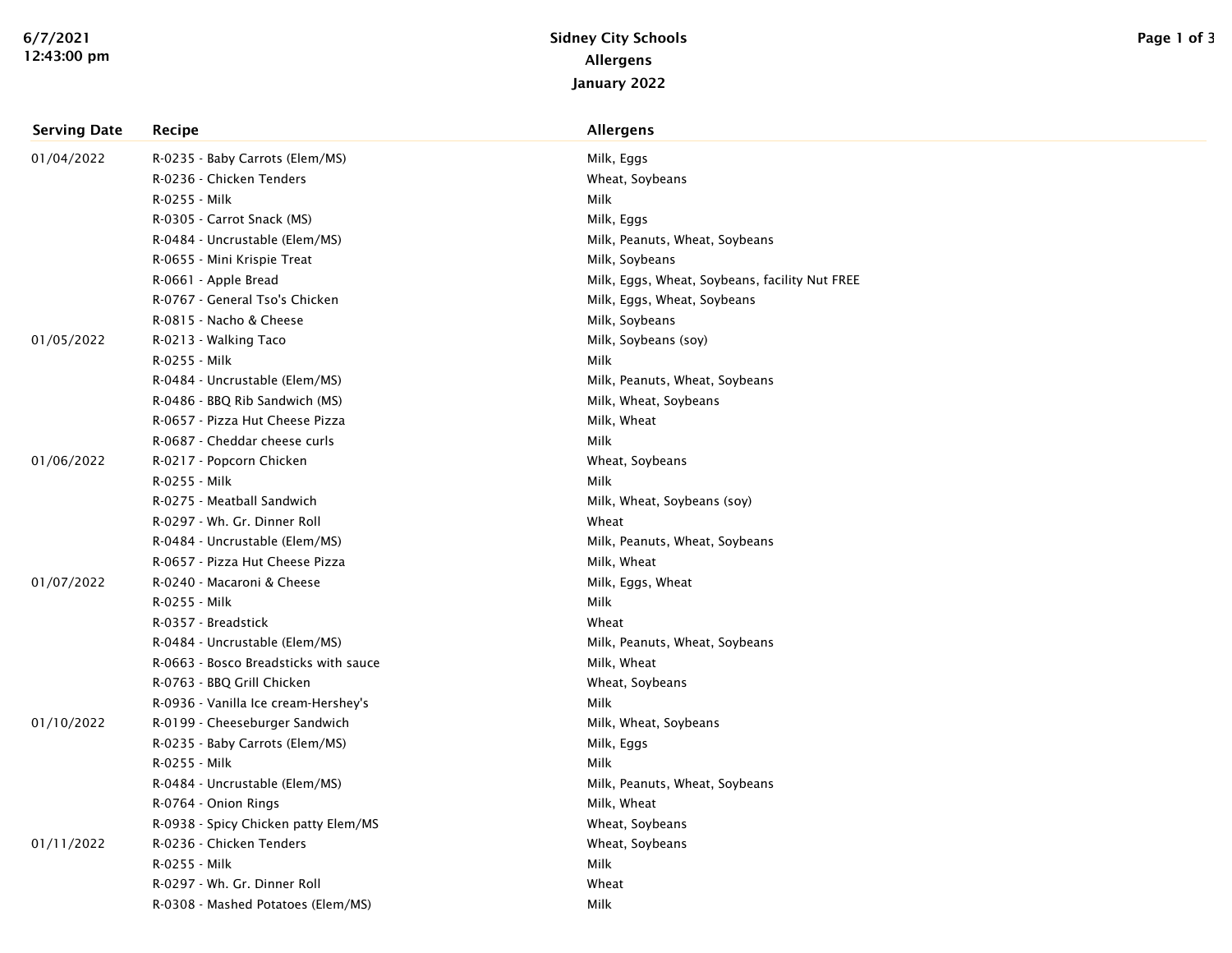| <b>Serving Date</b> | Recipe                                | Allergens                                      |
|---------------------|---------------------------------------|------------------------------------------------|
| 01/04/2022          | R-0235 - Baby Carrots (Elem/MS)       | Milk, Eggs                                     |
|                     | R-0236 - Chicken Tenders              | Wheat, Soybeans                                |
|                     | R-0255 - Milk                         | Milk                                           |
|                     | R-0305 - Carrot Snack (MS)            | Milk, Eggs                                     |
|                     | R-0484 - Uncrustable (Elem/MS)        | Milk, Peanuts, Wheat, Soybeans                 |
|                     | R-0655 - Mini Krispie Treat           | Milk, Soybeans                                 |
|                     | R-0661 - Apple Bread                  | Milk, Eggs, Wheat, Soybeans, facility Nut FREE |
|                     | R-0767 - General Tso's Chicken        | Milk, Eggs, Wheat, Soybeans                    |
|                     | R-0815 - Nacho & Cheese               | Milk, Soybeans                                 |
| 01/05/2022          | R-0213 - Walking Taco                 | Milk, Soybeans (soy)                           |
|                     | R-0255 - Milk                         | Milk                                           |
|                     | R-0484 - Uncrustable (Elem/MS)        | Milk, Peanuts, Wheat, Soybeans                 |
|                     | R-0486 - BBQ Rib Sandwich (MS)        | Milk, Wheat, Soybeans                          |
|                     | R-0657 - Pizza Hut Cheese Pizza       | Milk, Wheat                                    |
|                     | R-0687 - Cheddar cheese curls         | Milk                                           |
| 01/06/2022          | R-0217 - Popcorn Chicken              | Wheat, Soybeans                                |
|                     | R-0255 - Milk                         | Milk                                           |
|                     | R-0275 - Meatball Sandwich            | Milk, Wheat, Soybeans (soy)                    |
|                     | R-0297 - Wh. Gr. Dinner Roll          | Wheat                                          |
|                     | R-0484 - Uncrustable (Elem/MS)        | Milk, Peanuts, Wheat, Soybeans                 |
|                     | R-0657 - Pizza Hut Cheese Pizza       | Milk, Wheat                                    |
| 01/07/2022          | R-0240 - Macaroni & Cheese            | Milk, Eggs, Wheat                              |
|                     | R-0255 - Milk                         | Milk                                           |
|                     | R-0357 - Breadstick                   | Wheat                                          |
|                     | R-0484 - Uncrustable (Elem/MS)        | Milk, Peanuts, Wheat, Soybeans                 |
|                     | R-0663 - Bosco Breadsticks with sauce | Milk, Wheat                                    |
|                     | R-0763 - BBQ Grill Chicken            | Wheat, Soybeans                                |
|                     | R-0936 - Vanilla Ice cream-Hershey's  | Milk                                           |
| 01/10/2022          | R-0199 - Cheeseburger Sandwich        | Milk, Wheat, Soybeans                          |
|                     | R-0235 - Baby Carrots (Elem/MS)       | Milk, Eggs                                     |
|                     | R-0255 - Milk                         | Milk                                           |
|                     | R-0484 - Uncrustable (Elem/MS)        | Milk, Peanuts, Wheat, Soybeans                 |
|                     | R-0764 - Onion Rings                  | Milk, Wheat                                    |
|                     | R-0938 - Spicy Chicken patty Elem/MS  | Wheat, Soybeans                                |
| 01/11/2022          | R-0236 - Chicken Tenders              | Wheat, Soybeans                                |
|                     | R-0255 - Milk                         | Milk                                           |
|                     | R-0297 - Wh. Gr. Dinner Roll          | Wheat                                          |
|                     | R-0308 - Mashed Potatoes (Elem/MS)    | Milk                                           |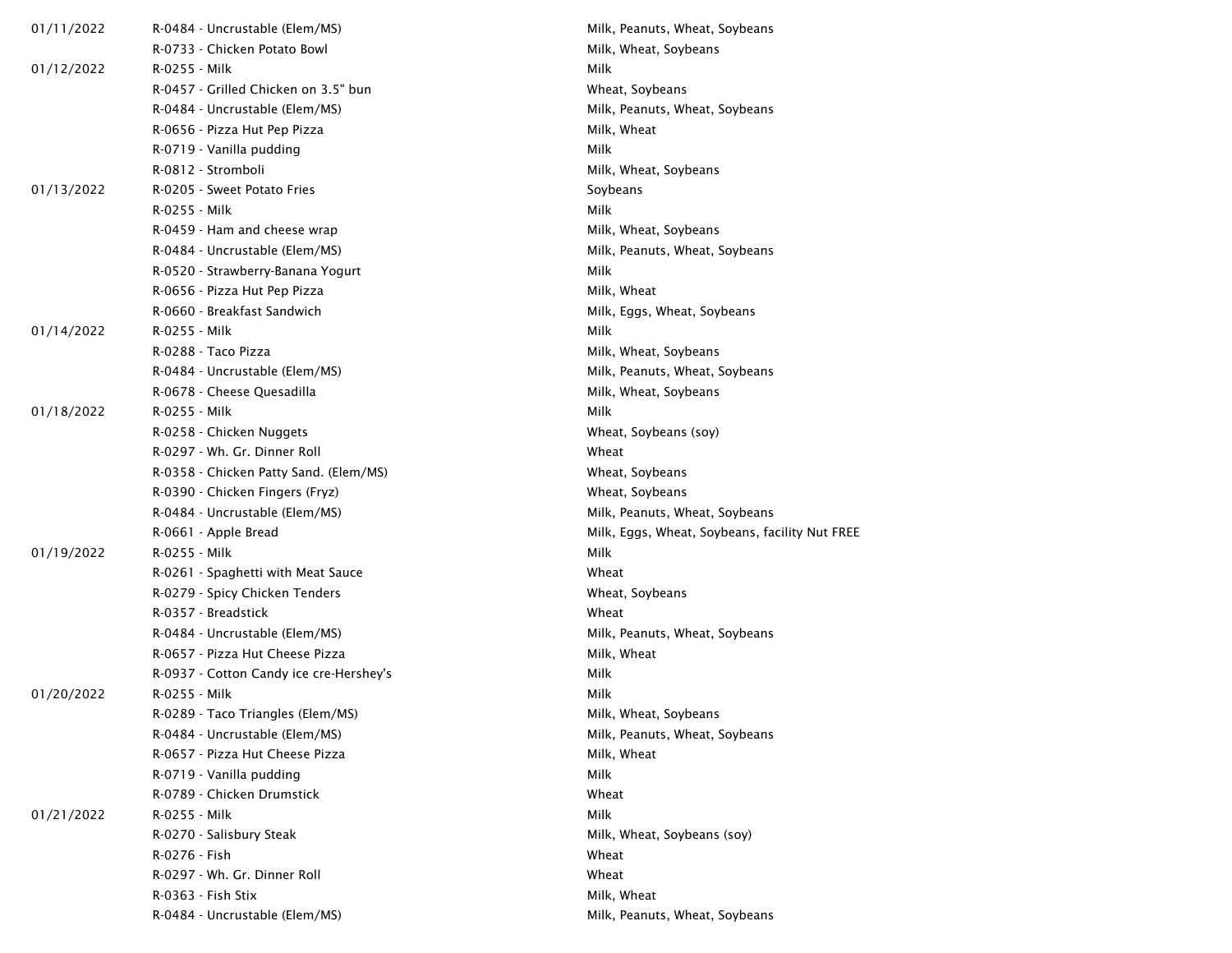| 01/11/2022 | R-0484 - Uncrustable (Elem/MS)          | Milk, Peanuts, Wheat, Soybeans                 |
|------------|-----------------------------------------|------------------------------------------------|
|            | R-0733 - Chicken Potato Bowl            | Milk, Wheat, Soybeans                          |
| 01/12/2022 | R-0255 - Milk                           | Milk                                           |
|            | R-0457 - Grilled Chicken on 3.5" bun    | Wheat, Soybeans                                |
|            | R-0484 - Uncrustable (Elem/MS)          | Milk, Peanuts, Wheat, Soybeans                 |
|            | R-0656 - Pizza Hut Pep Pizza            | Milk, Wheat                                    |
|            | R-0719 - Vanilla pudding                | Milk                                           |
|            | R-0812 - Stromboli                      | Milk, Wheat, Soybeans                          |
| 01/13/2022 | R-0205 - Sweet Potato Fries             | Soybeans                                       |
|            | R-0255 - Milk                           | Milk                                           |
|            | R-0459 - Ham and cheese wrap            | Milk, Wheat, Soybeans                          |
|            | R-0484 - Uncrustable (Elem/MS)          | Milk, Peanuts, Wheat, Soybeans                 |
|            | R-0520 - Strawberry-Banana Yogurt       | Milk                                           |
|            | R-0656 - Pizza Hut Pep Pizza            | Milk, Wheat                                    |
|            | R-0660 - Breakfast Sandwich             | Milk, Eggs, Wheat, Soybeans                    |
| 01/14/2022 | R-0255 - Milk                           | Milk                                           |
|            | R-0288 - Taco Pizza                     | Milk, Wheat, Soybeans                          |
|            | R-0484 - Uncrustable (Elem/MS)          | Milk, Peanuts, Wheat, Soybeans                 |
|            | R-0678 - Cheese Quesadilla              | Milk, Wheat, Soybeans                          |
| 01/18/2022 | R-0255 - Milk                           | Milk                                           |
|            | R-0258 - Chicken Nuggets                | Wheat, Soybeans (soy)                          |
|            | R-0297 - Wh. Gr. Dinner Roll            | Wheat                                          |
|            | R-0358 - Chicken Patty Sand. (Elem/MS)  | Wheat, Soybeans                                |
|            | R-0390 - Chicken Fingers (Fryz)         | Wheat, Soybeans                                |
|            | R-0484 - Uncrustable (Elem/MS)          | Milk, Peanuts, Wheat, Soybeans                 |
|            | R-0661 - Apple Bread                    | Milk, Eggs, Wheat, Soybeans, facility Nut FREE |
| 01/19/2022 | R-0255 - Milk                           | Milk                                           |
|            | R-0261 - Spaghetti with Meat Sauce      | Wheat                                          |
|            | R-0279 - Spicy Chicken Tenders          | Wheat, Soybeans                                |
|            | R-0357 - Breadstick                     | Wheat                                          |
|            | R-0484 - Uncrustable (Elem/MS)          | Milk, Peanuts, Wheat, Soybeans                 |
|            | R-0657 - Pizza Hut Cheese Pizza         | Milk, Wheat                                    |
|            | R-0937 - Cotton Candy ice cre-Hershey's | Milk                                           |
| 01/20/2022 | R-0255 - Milk                           | Milk                                           |
|            | R-0289 - Taco Triangles (Elem/MS)       | Milk, Wheat, Soybeans                          |
|            | R-0484 - Uncrustable (Elem/MS)          | Milk, Peanuts, Wheat, Soybeans                 |
|            | R-0657 - Pizza Hut Cheese Pizza         | Milk, Wheat                                    |
|            | R-0719 - Vanilla pudding                | Milk                                           |
|            | R-0789 - Chicken Drumstick              | Wheat                                          |
| 01/21/2022 | R-0255 - Milk                           | Milk                                           |
|            | R-0270 - Salisbury Steak                | Milk, Wheat, Soybeans (soy)                    |
|            | R-0276 - Fish                           | Wheat                                          |
|            | R-0297 - Wh. Gr. Dinner Roll            | Wheat                                          |
|            | R-0363 - Fish Stix                      | Milk, Wheat                                    |
|            | R-0484 - Uncrustable (Elem/MS)          | Milk, Peanuts, Wheat, Soybeans                 |